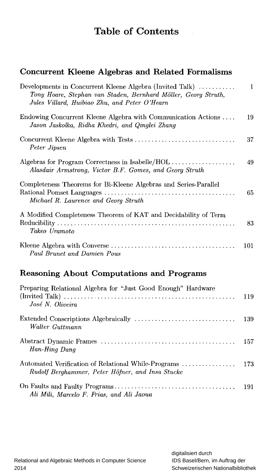## Table of Contents

## Concurrent Kleene Algebras and Related Formalisms

| Developments in Concurrent Kleene Algebra (Invited Talk)<br>Tony Hoare, Stephan van Staden, Bernhard Möller, Georg Struth,<br>Jules Villard, Huibiao Zhu, and Peter O'Hearn | $\mathbf{1}$ |
|-----------------------------------------------------------------------------------------------------------------------------------------------------------------------------|--------------|
| Endowing Concurrent Kleene Algebra with Communication Actions<br>Jason Jaskolka, Ridha Khedri, and Qinglei Zhang                                                            | 19           |
| Peter Jipsen                                                                                                                                                                | 37           |
| Algebras for Program Correctness in Isabelle/HOL<br>Alasdair Armstrong, Victor B.F. Gomes, and Georg Struth                                                                 | 49           |
| Completeness Theorems for Bi-Kleene Algebras and Series-Parallel<br>Michael R. Laurence and Georg Struth                                                                    | 65           |
| A Modified Completeness Theorem of KAT and Decidability of Term<br>Takeo Uramoto                                                                                            | 83           |
| Paul Brunet and Damien Pous                                                                                                                                                 | 101          |

## Reasoning About Computations and Programs

| Preparing Relational Algebra for "Just Good Enough" Hardware<br>José N. Oliveira                        |     |
|---------------------------------------------------------------------------------------------------------|-----|
| Walter Guttmann                                                                                         | 139 |
| Han-Hing Dang                                                                                           | 157 |
| Automated Verification of Relational While-Programs<br>Rudolf Berghammer, Peter Höfner, and Insa Stucke | 173 |
| Ali Mili, Marcelo F. Frias, and Ali Jaoua                                                               |     |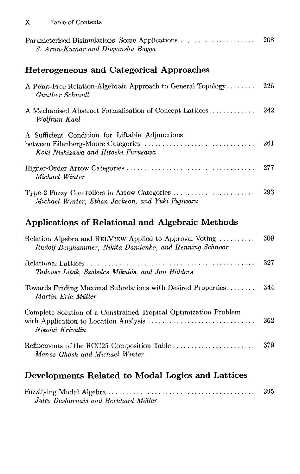| Parameterised Bisimulations: Some Applications<br>S. Arun-Kumar and Divyanshu Bagga                                          | 208 |
|------------------------------------------------------------------------------------------------------------------------------|-----|
| Heterogeneous and Categorical Approaches                                                                                     |     |
| A Point-Free Relation-Algebraic Approach to General Topology<br>Gunther Schmidt                                              | 226 |
| A Mechanised Abstract Formalisation of Concept Lattices<br>Wolfram Kahl                                                      | 242 |
| A Sufficient Condition for Liftable Adjunctions<br>between Eilenberg-Moore Categories<br>Koki Nishizawa and Hitoshi Furusawa | 261 |
| Michael Winter                                                                                                               | 277 |
| Type-2 Fuzzy Controllers in Arrow Categories<br>Michael Winter, Ethan Jackson, and Yuki Fujiwara                             | 293 |
| Applications of Relational and Algebraic Methods                                                                             |     |

| 309 |
|-----|
| 327 |
| 344 |
| 362 |
| 379 |
|     |

## Developments Related to Modal Logics and Lattices

|                                      | 395 |
|--------------------------------------|-----|
| Jules Desharnais and Bernhard Möller |     |